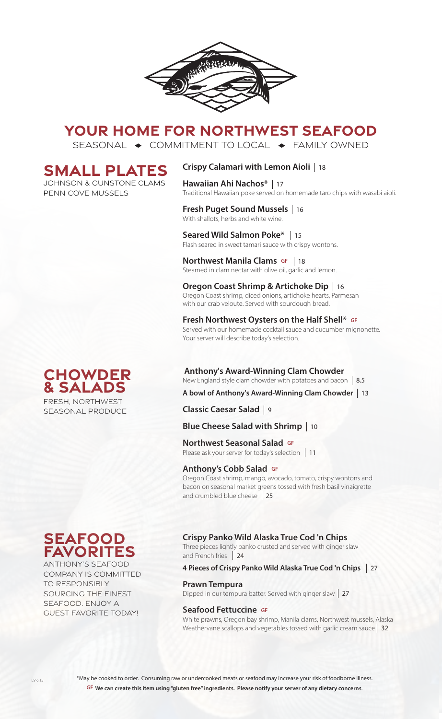

# **YOUR HOME FOR NORTHWEST SEAFOOD**

SEASONAL  $\rightarrow$  COMMITMENT TO LOCAL  $\rightarrow$  FAMILY OWNED

# **SMALL PLATES**

Johnson & GUnstone clams Penn Cove Mussels

# **Crispy Calamari with Lemon Aioli**  18

**Hawaiian Ahi Nachos\***  17 Traditional Hawaiian poke served on homemade taro chips with wasabi aioli.

## **Fresh Puget Sound Mussels**  16 With shallots, herbs and white wine.

**Seared Wild Salmon Poke\***  15 Flash seared in sweet tamari sauce with crispy wontons.

## **Northwest Manila Clams GF** | 18 **NOT LITWEST MATTIME CRAITS SET 118**<br>Steamed in clam nectar with olive oil, garlic and lemon.

**Oregon Coast Shrimp & Artichoke Dip**  16 Oregon Coast shrimp, diced onions, artichoke hearts, Parmesan with our crab veloute. Served with sourdough bread.

#### **Fresh Northwest Oysters on the Half Shell\* GF** Served with our homemade cocktail sauce and cucumber mignonette. Your server will describe today's selection.

# **Anthony's Award-Winning Clam Chowder**

New England style clam chowder with potatoes and bacon 8.5

# **A bowl of Anthony's Award-Winning Clam Chowder**  13

**Classic Caesar Salad**  9

# **Blue Cheese Salad with Shrimp**  10

# **Northwest Seasonal Salad GF**

**TOI LITWEST SEASOTIAT SATACE SPACE 11**<br>Please ask your server for today's selection | 11

#### **Anthony's Cobb Salad GF**

Oregon Coast shrimp, mango, avocado, tomato, crispy wontons and bacon on seasonal market greens tossed with fresh basil vinaigrette and crumbled blue cheese 25

# **Crispy Panko Wild Alaska True Cod 'n Chips**

Three pieces lightly panko crusted and served with ginger slaw and French fries 24

# **4 Pieces of Crispy Panko Wild Alaska True Cod 'n Chips**  27

**Prawn Tempura**<br>Dipped in our tempura batter. Served with ginger slaw | 27

#### **Seafood Fettuccine GF**

White prawns, Oregon bay shrimp, Manila clams, Northwest mussels, Alaska Weathervane scallops and vegetables tossed with garlic cream sauce 32

# **Chowder & Salads** FRESH, NORTHWEST SEASONAL PRODUCE

**seafood favorites**

ANTHONY'S SEAFOOD COMPANY IS COMMITTED TO RESPONSIBLY SOURCING THE FINEST SEAFOOD. ENJOY A GUEST FAVORITE TODAY!